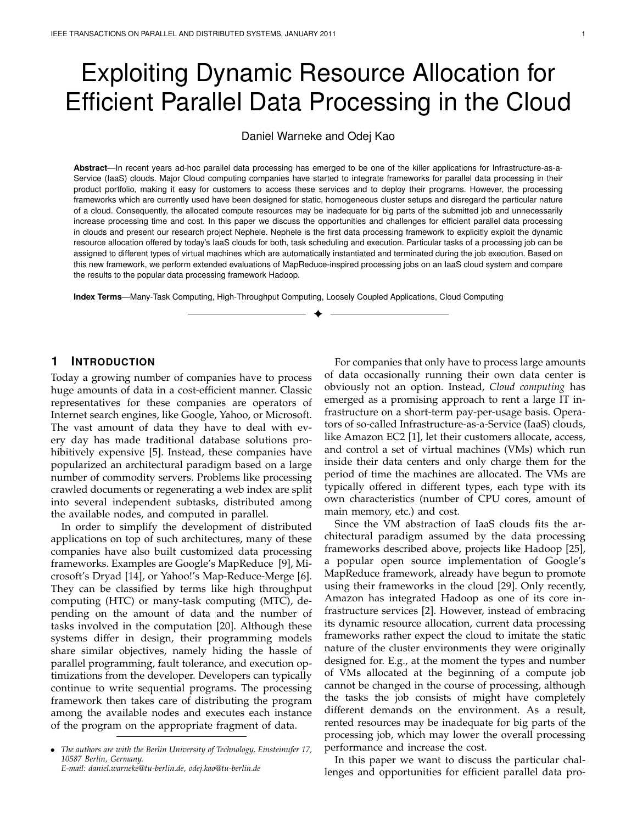# Exploiting Dynamic Resource Allocation for Efficient Parallel Data Processing in the Cloud

Daniel Warneke and Odej Kao

**Abstract**—In recent years ad-hoc parallel data processing has emerged to be one of the killer applications for Infrastructure-as-a-Service (IaaS) clouds. Major Cloud computing companies have started to integrate frameworks for parallel data processing in their product portfolio, making it easy for customers to access these services and to deploy their programs. However, the processing frameworks which are currently used have been designed for static, homogeneous cluster setups and disregard the particular nature of a cloud. Consequently, the allocated compute resources may be inadequate for big parts of the submitted job and unnecessarily increase processing time and cost. In this paper we discuss the opportunities and challenges for efficient parallel data processing in clouds and present our research project Nephele. Nephele is the first data processing framework to explicitly exploit the dynamic resource allocation offered by today's IaaS clouds for both, task scheduling and execution. Particular tasks of a processing job can be assigned to different types of virtual machines which are automatically instantiated and terminated during the job execution. Based on this new framework, we perform extended evaluations of MapReduce-inspired processing jobs on an IaaS cloud system and compare the results to the popular data processing framework Hadoop.

✦

**Index Terms**—Many-Task Computing, High-Throughput Computing, Loosely Coupled Applications, Cloud Computing

# **1 INTRODUCTION**

Today a growing number of companies have to process huge amounts of data in a cost-efficient manner. Classic representatives for these companies are operators of Internet search engines, like Google, Yahoo, or Microsoft. The vast amount of data they have to deal with every day has made traditional database solutions prohibitively expensive [5]. Instead, these companies have popularized an architectural paradigm based on a large number of commodity servers. Problems like processing crawled documents or regenerating a web index are split into several independent subtasks, distributed among the available nodes, and computed in parallel.

In order to simplify the development of distributed applications on top of such architectures, many of these companies have also built customized data processing frameworks. Examples are Google's MapReduce [9], Microsoft's Dryad [14], or Yahoo!'s Map-Reduce-Merge [6]. They can be classified by terms like high throughput computing (HTC) or many-task computing (MTC), depending on the amount of data and the number of tasks involved in the computation [20]. Although these systems differ in design, their programming models share similar objectives, namely hiding the hassle of parallel programming, fault tolerance, and execution optimizations from the developer. Developers can typically continue to write sequential programs. The processing framework then takes care of distributing the program among the available nodes and executes each instance of the program on the appropriate fragment of data.

For companies that only have to process large amounts of data occasionally running their own data center is obviously not an option. Instead, *Cloud computing* has emerged as a promising approach to rent a large IT infrastructure on a short-term pay-per-usage basis. Operators of so-called Infrastructure-as-a-Service (IaaS) clouds, like Amazon EC2 [1], let their customers allocate, access, and control a set of virtual machines (VMs) which run inside their data centers and only charge them for the period of time the machines are allocated. The VMs are typically offered in different types, each type with its own characteristics (number of CPU cores, amount of main memory, etc.) and cost.

Since the VM abstraction of IaaS clouds fits the architectural paradigm assumed by the data processing frameworks described above, projects like Hadoop [25], a popular open source implementation of Google's MapReduce framework, already have begun to promote using their frameworks in the cloud [29]. Only recently, Amazon has integrated Hadoop as one of its core infrastructure services [2]. However, instead of embracing its dynamic resource allocation, current data processing frameworks rather expect the cloud to imitate the static nature of the cluster environments they were originally designed for. E.g., at the moment the types and number of VMs allocated at the beginning of a compute job cannot be changed in the course of processing, although the tasks the job consists of might have completely different demands on the environment. As a result, rented resources may be inadequate for big parts of the processing job, which may lower the overall processing performance and increase the cost.

In this paper we want to discuss the particular challenges and opportunities for efficient parallel data pro-

<sup>•</sup> *The authors are with the Berlin University of Technology, Einsteinufer 17, 10587 Berlin, Germany. E-mail: daniel.warneke@tu-berlin.de, odej.kao@tu-berlin.de*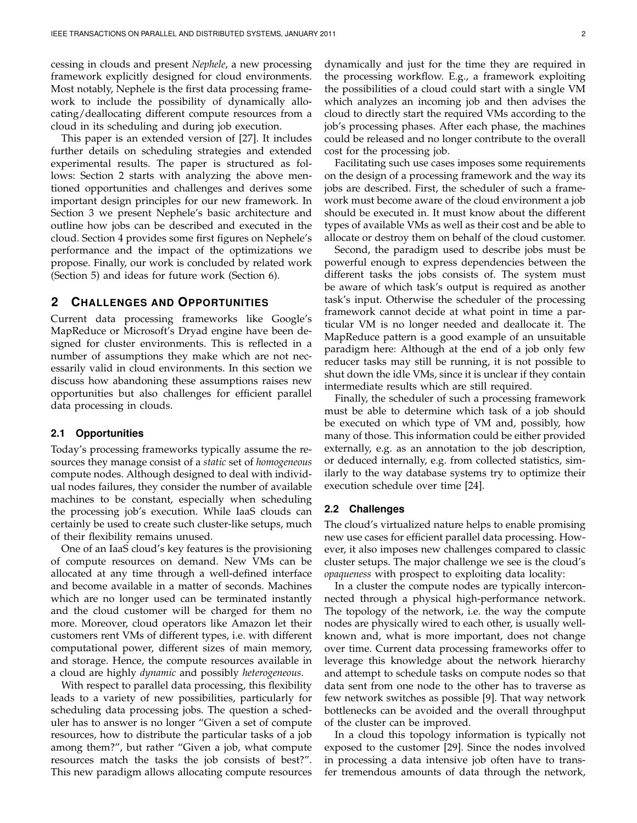cessing in clouds and present *Nephele*, a new processing framework explicitly designed for cloud environments. Most notably, Nephele is the first data processing framework to include the possibility of dynamically allocating/deallocating different compute resources from a cloud in its scheduling and during job execution.

This paper is an extended version of [27]. It includes further details on scheduling strategies and extended experimental results. The paper is structured as follows: Section 2 starts with analyzing the above mentioned opportunities and challenges and derives some important design principles for our new framework. In Section 3 we present Nephele's basic architecture and outline how jobs can be described and executed in the cloud. Section 4 provides some first figures on Nephele's performance and the impact of the optimizations we propose. Finally, our work is concluded by related work (Section 5) and ideas for future work (Section 6).

## **2 CHALLENGES AND OPPORTUNITIES**

Current data processing frameworks like Google's MapReduce or Microsoft's Dryad engine have been designed for cluster environments. This is reflected in a number of assumptions they make which are not necessarily valid in cloud environments. In this section we discuss how abandoning these assumptions raises new opportunities but also challenges for efficient parallel data processing in clouds.

#### **2.1 Opportunities**

Today's processing frameworks typically assume the resources they manage consist of a *static* set of *homogeneous* compute nodes. Although designed to deal with individual nodes failures, they consider the number of available machines to be constant, especially when scheduling the processing job's execution. While IaaS clouds can certainly be used to create such cluster-like setups, much of their flexibility remains unused.

One of an IaaS cloud's key features is the provisioning of compute resources on demand. New VMs can be allocated at any time through a well-defined interface and become available in a matter of seconds. Machines which are no longer used can be terminated instantly and the cloud customer will be charged for them no more. Moreover, cloud operators like Amazon let their customers rent VMs of different types, i.e. with different computational power, different sizes of main memory, and storage. Hence, the compute resources available in a cloud are highly *dynamic* and possibly *heterogeneous*.

With respect to parallel data processing, this flexibility leads to a variety of new possibilities, particularly for scheduling data processing jobs. The question a scheduler has to answer is no longer "Given a set of compute resources, how to distribute the particular tasks of a job among them?", but rather "Given a job, what compute resources match the tasks the job consists of best?". This new paradigm allows allocating compute resources dynamically and just for the time they are required in the processing workflow. E.g., a framework exploiting the possibilities of a cloud could start with a single VM which analyzes an incoming job and then advises the cloud to directly start the required VMs according to the job's processing phases. After each phase, the machines could be released and no longer contribute to the overall cost for the processing job.

Facilitating such use cases imposes some requirements on the design of a processing framework and the way its jobs are described. First, the scheduler of such a framework must become aware of the cloud environment a job should be executed in. It must know about the different types of available VMs as well as their cost and be able to allocate or destroy them on behalf of the cloud customer.

Second, the paradigm used to describe jobs must be powerful enough to express dependencies between the different tasks the jobs consists of. The system must be aware of which task's output is required as another task's input. Otherwise the scheduler of the processing framework cannot decide at what point in time a particular VM is no longer needed and deallocate it. The MapReduce pattern is a good example of an unsuitable paradigm here: Although at the end of a job only few reducer tasks may still be running, it is not possible to shut down the idle VMs, since it is unclear if they contain intermediate results which are still required.

Finally, the scheduler of such a processing framework must be able to determine which task of a job should be executed on which type of VM and, possibly, how many of those. This information could be either provided externally, e.g. as an annotation to the job description, or deduced internally, e.g. from collected statistics, similarly to the way database systems try to optimize their execution schedule over time [24].

#### **2.2 Challenges**

The cloud's virtualized nature helps to enable promising new use cases for efficient parallel data processing. However, it also imposes new challenges compared to classic cluster setups. The major challenge we see is the cloud's *opaqueness* with prospect to exploiting data locality:

In a cluster the compute nodes are typically interconnected through a physical high-performance network. The topology of the network, i.e. the way the compute nodes are physically wired to each other, is usually wellknown and, what is more important, does not change over time. Current data processing frameworks offer to leverage this knowledge about the network hierarchy and attempt to schedule tasks on compute nodes so that data sent from one node to the other has to traverse as few network switches as possible [9]. That way network bottlenecks can be avoided and the overall throughput of the cluster can be improved.

In a cloud this topology information is typically not exposed to the customer [29]. Since the nodes involved in processing a data intensive job often have to transfer tremendous amounts of data through the network,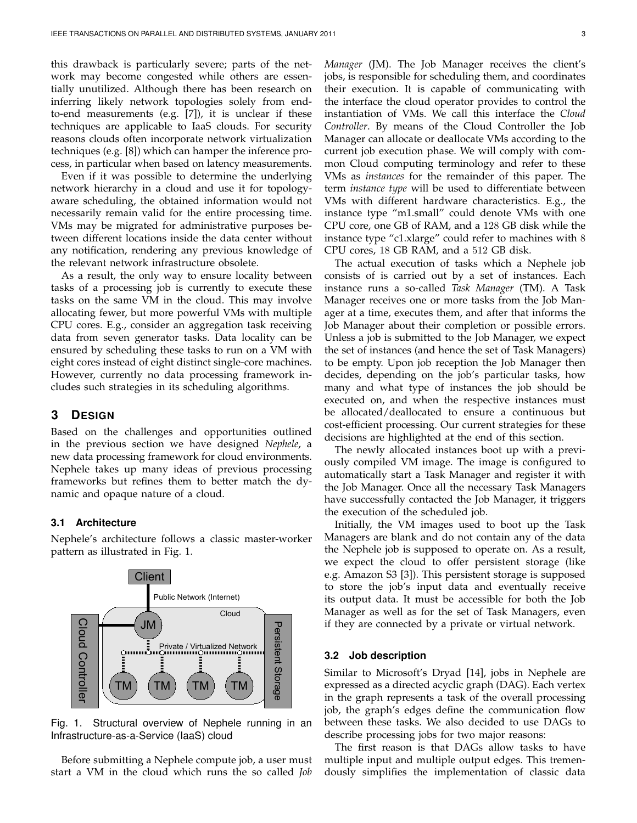this drawback is particularly severe; parts of the network may become congested while others are essentially unutilized. Although there has been research on inferring likely network topologies solely from endto-end measurements (e.g. [7]), it is unclear if these techniques are applicable to IaaS clouds. For security reasons clouds often incorporate network virtualization techniques (e.g. [8]) which can hamper the inference process, in particular when based on latency measurements.

Even if it was possible to determine the underlying network hierarchy in a cloud and use it for topologyaware scheduling, the obtained information would not necessarily remain valid for the entire processing time. VMs may be migrated for administrative purposes between different locations inside the data center without any notification, rendering any previous knowledge of the relevant network infrastructure obsolete.

As a result, the only way to ensure locality between tasks of a processing job is currently to execute these tasks on the same VM in the cloud. This may involve allocating fewer, but more powerful VMs with multiple CPU cores. E.g., consider an aggregation task receiving data from seven generator tasks. Data locality can be ensured by scheduling these tasks to run on a VM with eight cores instead of eight distinct single-core machines. However, currently no data processing framework includes such strategies in its scheduling algorithms.

# **3 DESIGN**

Based on the challenges and opportunities outlined in the previous section we have designed *Nephele*, a new data processing framework for cloud environments. Nephele takes up many ideas of previous processing frameworks but refines them to better match the dynamic and opaque nature of a cloud.

#### **3.1 Architecture**

Nephele's architecture follows a classic master-worker pattern as illustrated in Fig. 1.



Fig. 1. Structural overview of Nephele running in an Infrastructure-as-a-Service (IaaS) cloud

Before submitting a Nephele compute job, a user must start a VM in the cloud which runs the so called *Job*

*Manager* (JM). The Job Manager receives the client's jobs, is responsible for scheduling them, and coordinates their execution. It is capable of communicating with the interface the cloud operator provides to control the instantiation of VMs. We call this interface the *Cloud Controller*. By means of the Cloud Controller the Job Manager can allocate or deallocate VMs according to the current job execution phase. We will comply with common Cloud computing terminology and refer to these VMs as *instances* for the remainder of this paper. The term *instance type* will be used to differentiate between VMs with different hardware characteristics. E.g., the instance type "m1.small" could denote VMs with one CPU core, one GB of RAM, and a 128 GB disk while the instance type "c1.xlarge" could refer to machines with 8 CPU cores, 18 GB RAM, and a 512 GB disk.

The actual execution of tasks which a Nephele job consists of is carried out by a set of instances. Each instance runs a so-called *Task Manager* (TM). A Task Manager receives one or more tasks from the Job Manager at a time, executes them, and after that informs the Job Manager about their completion or possible errors. Unless a job is submitted to the Job Manager, we expect the set of instances (and hence the set of Task Managers) to be empty. Upon job reception the Job Manager then decides, depending on the job's particular tasks, how many and what type of instances the job should be executed on, and when the respective instances must be allocated/deallocated to ensure a continuous but cost-efficient processing. Our current strategies for these decisions are highlighted at the end of this section.

The newly allocated instances boot up with a previously compiled VM image. The image is configured to automatically start a Task Manager and register it with the Job Manager. Once all the necessary Task Managers have successfully contacted the Job Manager, it triggers the execution of the scheduled job.

Initially, the VM images used to boot up the Task Managers are blank and do not contain any of the data the Nephele job is supposed to operate on. As a result, we expect the cloud to offer persistent storage (like e.g. Amazon S3 [3]). This persistent storage is supposed to store the job's input data and eventually receive its output data. It must be accessible for both the Job Manager as well as for the set of Task Managers, even if they are connected by a private or virtual network.

## **3.2 Job description**

Similar to Microsoft's Dryad [14], jobs in Nephele are expressed as a directed acyclic graph (DAG). Each vertex in the graph represents a task of the overall processing job, the graph's edges define the communication flow between these tasks. We also decided to use DAGs to describe processing jobs for two major reasons:

The first reason is that DAGs allow tasks to have multiple input and multiple output edges. This tremendously simplifies the implementation of classic data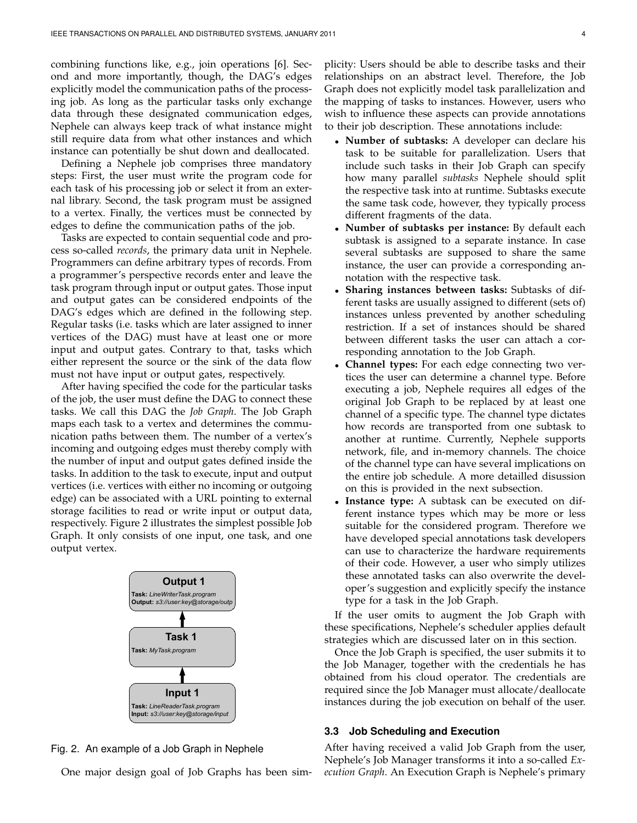combining functions like, e.g., join operations [6]. Second and more importantly, though, the DAG's edges explicitly model the communication paths of the processing job. As long as the particular tasks only exchange data through these designated communication edges, Nephele can always keep track of what instance might still require data from what other instances and which instance can potentially be shut down and deallocated.

Defining a Nephele job comprises three mandatory steps: First, the user must write the program code for each task of his processing job or select it from an external library. Second, the task program must be assigned to a vertex. Finally, the vertices must be connected by edges to define the communication paths of the job.

Tasks are expected to contain sequential code and process so-called *records*, the primary data unit in Nephele. Programmers can define arbitrary types of records. From a programmer's perspective records enter and leave the task program through input or output gates. Those input and output gates can be considered endpoints of the DAG's edges which are defined in the following step. Regular tasks (i.e. tasks which are later assigned to inner vertices of the DAG) must have at least one or more input and output gates. Contrary to that, tasks which either represent the source or the sink of the data flow must not have input or output gates, respectively.

After having specified the code for the particular tasks of the job, the user must define the DAG to connect these tasks. We call this DAG the *Job Graph*. The Job Graph maps each task to a vertex and determines the communication paths between them. The number of a vertex's incoming and outgoing edges must thereby comply with the number of input and output gates defined inside the tasks. In addition to the task to execute, input and output vertices (i.e. vertices with either no incoming or outgoing edge) can be associated with a URL pointing to external storage facilities to read or write input or output data, respectively. Figure 2 illustrates the simplest possible Job Graph. It only consists of one input, one task, and one output vertex.





One major design goal of Job Graphs has been sim-

plicity: Users should be able to describe tasks and their relationships on an abstract level. Therefore, the Job Graph does not explicitly model task parallelization and the mapping of tasks to instances. However, users who wish to influence these aspects can provide annotations to their job description. These annotations include:

- **Number of subtasks:** A developer can declare his task to be suitable for parallelization. Users that include such tasks in their Job Graph can specify how many parallel *subtasks* Nephele should split the respective task into at runtime. Subtasks execute the same task code, however, they typically process different fragments of the data.
- **Number of subtasks per instance:** By default each subtask is assigned to a separate instance. In case several subtasks are supposed to share the same instance, the user can provide a corresponding annotation with the respective task.
- **Sharing instances between tasks:** Subtasks of different tasks are usually assigned to different (sets of) instances unless prevented by another scheduling restriction. If a set of instances should be shared between different tasks the user can attach a corresponding annotation to the Job Graph.
- **Channel types:** For each edge connecting two vertices the user can determine a channel type. Before executing a job, Nephele requires all edges of the original Job Graph to be replaced by at least one channel of a specific type. The channel type dictates how records are transported from one subtask to another at runtime. Currently, Nephele supports network, file, and in-memory channels. The choice of the channel type can have several implications on the entire job schedule. A more detailled disussion on this is provided in the next subsection.
- **Instance type:** A subtask can be executed on different instance types which may be more or less suitable for the considered program. Therefore we have developed special annotations task developers can use to characterize the hardware requirements of their code. However, a user who simply utilizes these annotated tasks can also overwrite the developer's suggestion and explicitly specify the instance type for a task in the Job Graph.

If the user omits to augment the Job Graph with these specifications, Nephele's scheduler applies default strategies which are discussed later on in this section.

Once the Job Graph is specified, the user submits it to the Job Manager, together with the credentials he has obtained from his cloud operator. The credentials are required since the Job Manager must allocate/deallocate instances during the job execution on behalf of the user.

## **3.3 Job Scheduling and Execution**

After having received a valid Job Graph from the user, Nephele's Job Manager transforms it into a so-called *Execution Graph*. An Execution Graph is Nephele's primary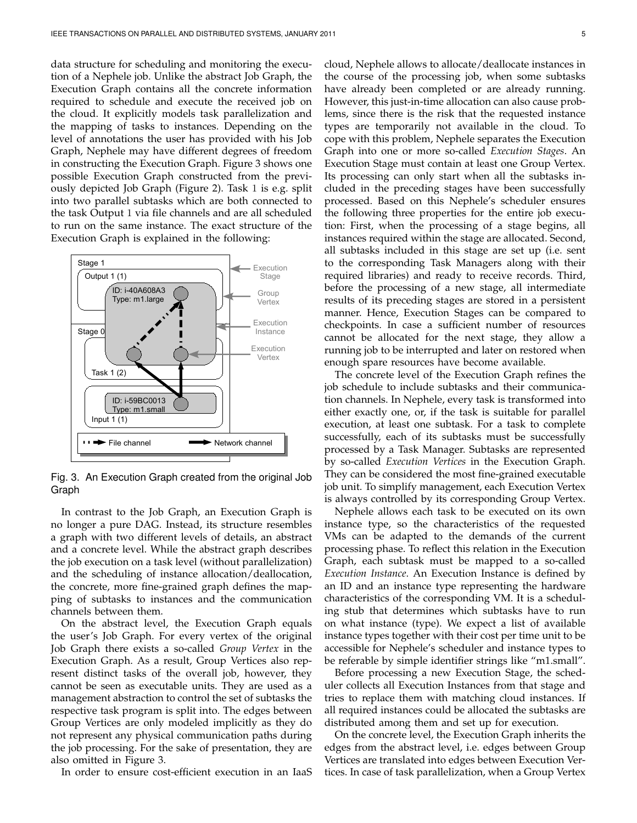data structure for scheduling and monitoring the execution of a Nephele job. Unlike the abstract Job Graph, the Execution Graph contains all the concrete information required to schedule and execute the received job on the cloud. It explicitly models task parallelization and the mapping of tasks to instances. Depending on the level of annotations the user has provided with his Job Graph, Nephele may have different degrees of freedom in constructing the Execution Graph. Figure 3 shows one possible Execution Graph constructed from the previously depicted Job Graph (Figure 2). Task 1 is e.g. split into two parallel subtasks which are both connected to the task Output 1 via file channels and are all scheduled to run on the same instance. The exact structure of the Execution Graph is explained in the following:



Fig. 3. An Execution Graph created from the original Job Graph

In contrast to the Job Graph, an Execution Graph is no longer a pure DAG. Instead, its structure resembles a graph with two different levels of details, an abstract and a concrete level. While the abstract graph describes the job execution on a task level (without parallelization) and the scheduling of instance allocation/deallocation, the concrete, more fine-grained graph defines the mapping of subtasks to instances and the communication channels between them.

On the abstract level, the Execution Graph equals the user's Job Graph. For every vertex of the original Job Graph there exists a so-called *Group Vertex* in the Execution Graph. As a result, Group Vertices also represent distinct tasks of the overall job, however, they cannot be seen as executable units. They are used as a management abstraction to control the set of subtasks the respective task program is split into. The edges between Group Vertices are only modeled implicitly as they do not represent any physical communication paths during the job processing. For the sake of presentation, they are also omitted in Figure 3.

In order to ensure cost-efficient execution in an IaaS

cloud, Nephele allows to allocate/deallocate instances in the course of the processing job, when some subtasks have already been completed or are already running. However, this just-in-time allocation can also cause problems, since there is the risk that the requested instance types are temporarily not available in the cloud. To cope with this problem, Nephele separates the Execution Graph into one or more so-called *Execution Stages*. An Execution Stage must contain at least one Group Vertex. Its processing can only start when all the subtasks included in the preceding stages have been successfully processed. Based on this Nephele's scheduler ensures the following three properties for the entire job execution: First, when the processing of a stage begins, all instances required within the stage are allocated. Second, all subtasks included in this stage are set up (i.e. sent to the corresponding Task Managers along with their required libraries) and ready to receive records. Third, before the processing of a new stage, all intermediate results of its preceding stages are stored in a persistent manner. Hence, Execution Stages can be compared to checkpoints. In case a sufficient number of resources cannot be allocated for the next stage, they allow a running job to be interrupted and later on restored when enough spare resources have become available.

The concrete level of the Execution Graph refines the job schedule to include subtasks and their communication channels. In Nephele, every task is transformed into either exactly one, or, if the task is suitable for parallel execution, at least one subtask. For a task to complete successfully, each of its subtasks must be successfully processed by a Task Manager. Subtasks are represented by so-called *Execution Vertices* in the Execution Graph. They can be considered the most fine-grained executable job unit. To simplify management, each Execution Vertex is always controlled by its corresponding Group Vertex.

Nephele allows each task to be executed on its own instance type, so the characteristics of the requested VMs can be adapted to the demands of the current processing phase. To reflect this relation in the Execution Graph, each subtask must be mapped to a so-called *Execution Instance*. An Execution Instance is defined by an ID and an instance type representing the hardware characteristics of the corresponding VM. It is a scheduling stub that determines which subtasks have to run on what instance (type). We expect a list of available instance types together with their cost per time unit to be accessible for Nephele's scheduler and instance types to be referable by simple identifier strings like "m1.small".

Before processing a new Execution Stage, the scheduler collects all Execution Instances from that stage and tries to replace them with matching cloud instances. If all required instances could be allocated the subtasks are distributed among them and set up for execution.

On the concrete level, the Execution Graph inherits the edges from the abstract level, i.e. edges between Group Vertices are translated into edges between Execution Vertices. In case of task parallelization, when a Group Vertex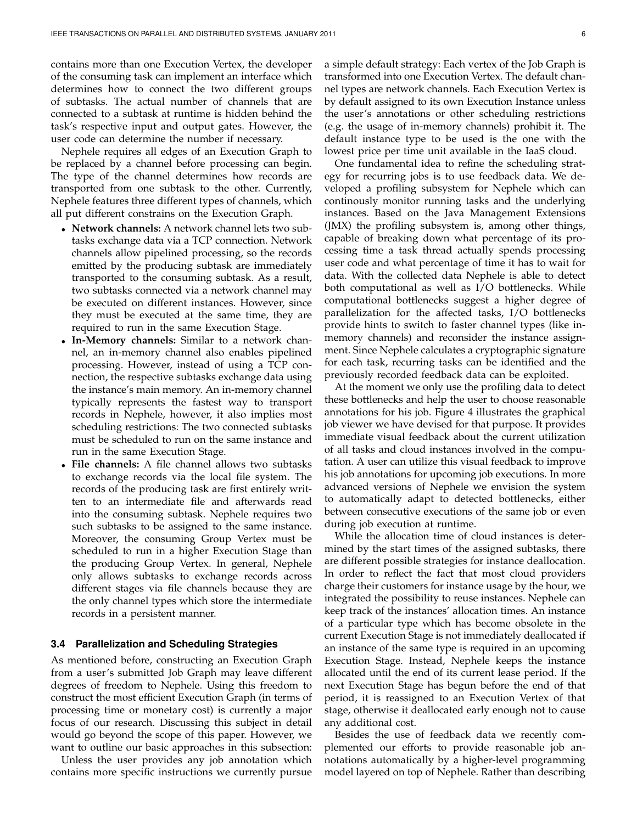contains more than one Execution Vertex, the developer of the consuming task can implement an interface which determines how to connect the two different groups of subtasks. The actual number of channels that are connected to a subtask at runtime is hidden behind the task's respective input and output gates. However, the user code can determine the number if necessary.

Nephele requires all edges of an Execution Graph to be replaced by a channel before processing can begin. The type of the channel determines how records are transported from one subtask to the other. Currently, Nephele features three different types of channels, which all put different constrains on the Execution Graph.

- **Network channels:** A network channel lets two subtasks exchange data via a TCP connection. Network channels allow pipelined processing, so the records emitted by the producing subtask are immediately transported to the consuming subtask. As a result, two subtasks connected via a network channel may be executed on different instances. However, since they must be executed at the same time, they are required to run in the same Execution Stage.
- **In-Memory channels:** Similar to a network channel, an in-memory channel also enables pipelined processing. However, instead of using a TCP connection, the respective subtasks exchange data using the instance's main memory. An in-memory channel typically represents the fastest way to transport records in Nephele, however, it also implies most scheduling restrictions: The two connected subtasks must be scheduled to run on the same instance and run in the same Execution Stage.
- **File channels:** A file channel allows two subtasks to exchange records via the local file system. The records of the producing task are first entirely written to an intermediate file and afterwards read into the consuming subtask. Nephele requires two such subtasks to be assigned to the same instance. Moreover, the consuming Group Vertex must be scheduled to run in a higher Execution Stage than the producing Group Vertex. In general, Nephele only allows subtasks to exchange records across different stages via file channels because they are the only channel types which store the intermediate records in a persistent manner.

### **3.4 Parallelization and Scheduling Strategies**

As mentioned before, constructing an Execution Graph from a user's submitted Job Graph may leave different degrees of freedom to Nephele. Using this freedom to construct the most efficient Execution Graph (in terms of processing time or monetary cost) is currently a major focus of our research. Discussing this subject in detail would go beyond the scope of this paper. However, we want to outline our basic approaches in this subsection:

Unless the user provides any job annotation which contains more specific instructions we currently pursue a simple default strategy: Each vertex of the Job Graph is transformed into one Execution Vertex. The default channel types are network channels. Each Execution Vertex is by default assigned to its own Execution Instance unless the user's annotations or other scheduling restrictions (e.g. the usage of in-memory channels) prohibit it. The default instance type to be used is the one with the lowest price per time unit available in the IaaS cloud.

One fundamental idea to refine the scheduling strategy for recurring jobs is to use feedback data. We developed a profiling subsystem for Nephele which can continously monitor running tasks and the underlying instances. Based on the Java Management Extensions (JMX) the profiling subsystem is, among other things, capable of breaking down what percentage of its processing time a task thread actually spends processing user code and what percentage of time it has to wait for data. With the collected data Nephele is able to detect both computational as well as I/O bottlenecks. While computational bottlenecks suggest a higher degree of parallelization for the affected tasks, I/O bottlenecks provide hints to switch to faster channel types (like inmemory channels) and reconsider the instance assignment. Since Nephele calculates a cryptographic signature for each task, recurring tasks can be identified and the previously recorded feedback data can be exploited.

At the moment we only use the profiling data to detect these bottlenecks and help the user to choose reasonable annotations for his job. Figure 4 illustrates the graphical job viewer we have devised for that purpose. It provides immediate visual feedback about the current utilization of all tasks and cloud instances involved in the computation. A user can utilize this visual feedback to improve his job annotations for upcoming job executions. In more advanced versions of Nephele we envision the system to automatically adapt to detected bottlenecks, either between consecutive executions of the same job or even during job execution at runtime.

While the allocation time of cloud instances is determined by the start times of the assigned subtasks, there are different possible strategies for instance deallocation. In order to reflect the fact that most cloud providers charge their customers for instance usage by the hour, we integrated the possibility to reuse instances. Nephele can keep track of the instances' allocation times. An instance of a particular type which has become obsolete in the current Execution Stage is not immediately deallocated if an instance of the same type is required in an upcoming Execution Stage. Instead, Nephele keeps the instance allocated until the end of its current lease period. If the next Execution Stage has begun before the end of that period, it is reassigned to an Execution Vertex of that stage, otherwise it deallocated early enough not to cause any additional cost.

Besides the use of feedback data we recently complemented our efforts to provide reasonable job annotations automatically by a higher-level programming model layered on top of Nephele. Rather than describing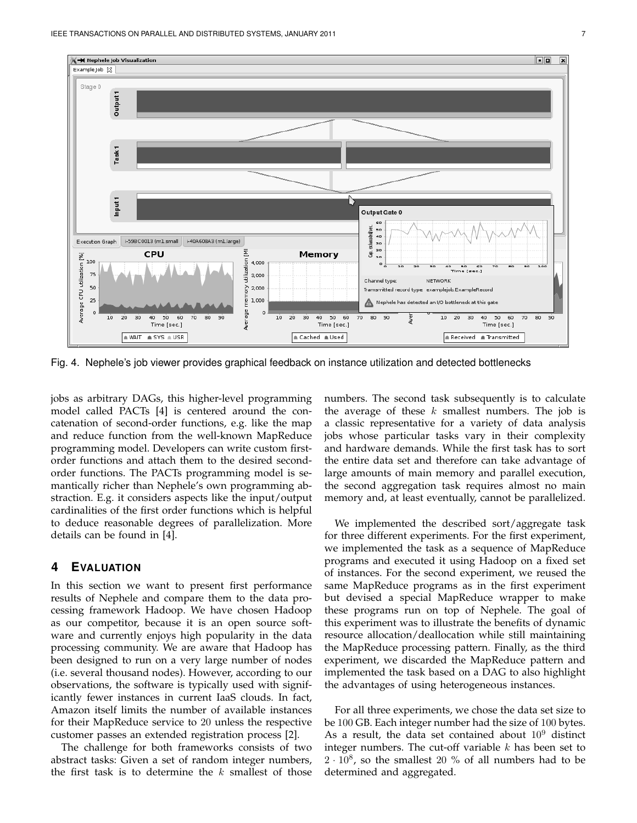

Fig. 4. Nephele's job viewer provides graphical feedback on instance utilization and detected bottlenecks

jobs as arbitrary DAGs, this higher-level programming model called PACTs [4] is centered around the concatenation of second-order functions, e.g. like the map and reduce function from the well-known MapReduce programming model. Developers can write custom firstorder functions and attach them to the desired secondorder functions. The PACTs programming model is semantically richer than Nephele's own programming abstraction. E.g. it considers aspects like the input/output cardinalities of the first order functions which is helpful to deduce reasonable degrees of parallelization. More details can be found in [4].

# **4 EVALUATION**

In this section we want to present first performance results of Nephele and compare them to the data processing framework Hadoop. We have chosen Hadoop as our competitor, because it is an open source software and currently enjoys high popularity in the data processing community. We are aware that Hadoop has been designed to run on a very large number of nodes (i.e. several thousand nodes). However, according to our observations, the software is typically used with significantly fewer instances in current IaaS clouds. In fact, Amazon itself limits the number of available instances for their MapReduce service to 20 unless the respective customer passes an extended registration process [2].

The challenge for both frameworks consists of two abstract tasks: Given a set of random integer numbers, the first task is to determine the  $k$  smallest of those

numbers. The second task subsequently is to calculate the average of these  $k$  smallest numbers. The job is a classic representative for a variety of data analysis jobs whose particular tasks vary in their complexity and hardware demands. While the first task has to sort the entire data set and therefore can take advantage of large amounts of main memory and parallel execution, the second aggregation task requires almost no main memory and, at least eventually, cannot be parallelized.

We implemented the described sort/aggregate task for three different experiments. For the first experiment, we implemented the task as a sequence of MapReduce programs and executed it using Hadoop on a fixed set of instances. For the second experiment, we reused the same MapReduce programs as in the first experiment but devised a special MapReduce wrapper to make these programs run on top of Nephele. The goal of this experiment was to illustrate the benefits of dynamic resource allocation/deallocation while still maintaining the MapReduce processing pattern. Finally, as the third experiment, we discarded the MapReduce pattern and implemented the task based on a DAG to also highlight the advantages of using heterogeneous instances.

For all three experiments, we chose the data set size to be 100 GB. Each integer number had the size of 100 bytes. As a result, the data set contained about  $10^9$  distinct integer numbers. The cut-off variable  $k$  has been set to  $2 \cdot 10^8$ , so the smallest 20 % of all numbers had to be determined and aggregated.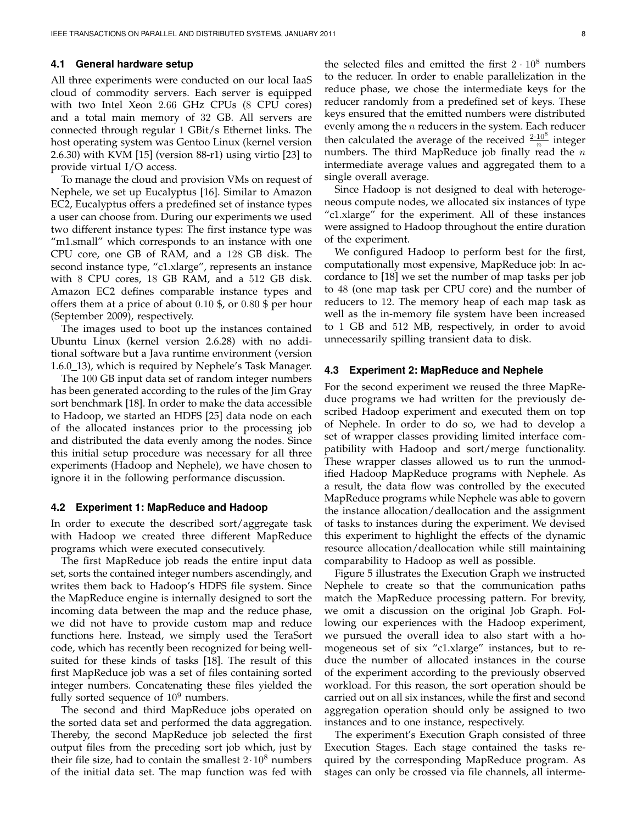## **4.1 General hardware setup**

All three experiments were conducted on our local IaaS cloud of commodity servers. Each server is equipped with two Intel Xeon 2.66 GHz CPUs (8 CPU cores) and a total main memory of 32 GB. All servers are connected through regular 1 GBit/s Ethernet links. The host operating system was Gentoo Linux (kernel version 2.6.30) with KVM [15] (version 88-r1) using virtio [23] to provide virtual I/O access.

To manage the cloud and provision VMs on request of Nephele, we set up Eucalyptus [16]. Similar to Amazon EC2, Eucalyptus offers a predefined set of instance types a user can choose from. During our experiments we used two different instance types: The first instance type was "m1.small" which corresponds to an instance with one CPU core, one GB of RAM, and a 128 GB disk. The second instance type, "c1.xlarge", represents an instance with 8 CPU cores, 18 GB RAM, and a 512 GB disk. Amazon EC2 defines comparable instance types and offers them at a price of about 0.10 \$, or 0.80 \$ per hour (September 2009), respectively.

The images used to boot up the instances contained Ubuntu Linux (kernel version 2.6.28) with no additional software but a Java runtime environment (version 1.6.0 13), which is required by Nephele's Task Manager.

The 100 GB input data set of random integer numbers has been generated according to the rules of the Jim Gray sort benchmark [18]. In order to make the data accessible to Hadoop, we started an HDFS [25] data node on each of the allocated instances prior to the processing job and distributed the data evenly among the nodes. Since this initial setup procedure was necessary for all three experiments (Hadoop and Nephele), we have chosen to ignore it in the following performance discussion.

## **4.2 Experiment 1: MapReduce and Hadoop**

In order to execute the described sort/aggregate task with Hadoop we created three different MapReduce programs which were executed consecutively.

The first MapReduce job reads the entire input data set, sorts the contained integer numbers ascendingly, and writes them back to Hadoop's HDFS file system. Since the MapReduce engine is internally designed to sort the incoming data between the map and the reduce phase, we did not have to provide custom map and reduce functions here. Instead, we simply used the TeraSort code, which has recently been recognized for being wellsuited for these kinds of tasks [18]. The result of this first MapReduce job was a set of files containing sorted integer numbers. Concatenating these files yielded the fully sorted sequence of  $10<sup>9</sup>$  numbers.

The second and third MapReduce jobs operated on the sorted data set and performed the data aggregation. Thereby, the second MapReduce job selected the first output files from the preceding sort job which, just by their file size, had to contain the smallest  $2 \cdot 10^8$  numbers of the initial data set. The map function was fed with

the selected files and emitted the first  $2 \cdot 10^8$  numbers to the reducer. In order to enable parallelization in the reduce phase, we chose the intermediate keys for the reducer randomly from a predefined set of keys. These keys ensured that the emitted numbers were distributed evenly among the  $n$  reducers in the system. Each reducer then calculated the average of the received  $\frac{2\cdot 10^8}{n}$  integer numbers. The third MapReduce job finally read the  $n$ intermediate average values and aggregated them to a single overall average.

Since Hadoop is not designed to deal with heterogeneous compute nodes, we allocated six instances of type "c1.xlarge" for the experiment. All of these instances were assigned to Hadoop throughout the entire duration of the experiment.

We configured Hadoop to perform best for the first, computationally most expensive, MapReduce job: In accordance to [18] we set the number of map tasks per job to 48 (one map task per CPU core) and the number of reducers to 12. The memory heap of each map task as well as the in-memory file system have been increased to 1 GB and 512 MB, respectively, in order to avoid unnecessarily spilling transient data to disk.

#### **4.3 Experiment 2: MapReduce and Nephele**

For the second experiment we reused the three MapReduce programs we had written for the previously described Hadoop experiment and executed them on top of Nephele. In order to do so, we had to develop a set of wrapper classes providing limited interface compatibility with Hadoop and sort/merge functionality. These wrapper classes allowed us to run the unmodified Hadoop MapReduce programs with Nephele. As a result, the data flow was controlled by the executed MapReduce programs while Nephele was able to govern the instance allocation/deallocation and the assignment of tasks to instances during the experiment. We devised this experiment to highlight the effects of the dynamic resource allocation/deallocation while still maintaining comparability to Hadoop as well as possible.

Figure 5 illustrates the Execution Graph we instructed Nephele to create so that the communication paths match the MapReduce processing pattern. For brevity, we omit a discussion on the original Job Graph. Following our experiences with the Hadoop experiment, we pursued the overall idea to also start with a homogeneous set of six "c1.xlarge" instances, but to reduce the number of allocated instances in the course of the experiment according to the previously observed workload. For this reason, the sort operation should be carried out on all six instances, while the first and second aggregation operation should only be assigned to two instances and to one instance, respectively.

The experiment's Execution Graph consisted of three Execution Stages. Each stage contained the tasks required by the corresponding MapReduce program. As stages can only be crossed via file channels, all interme-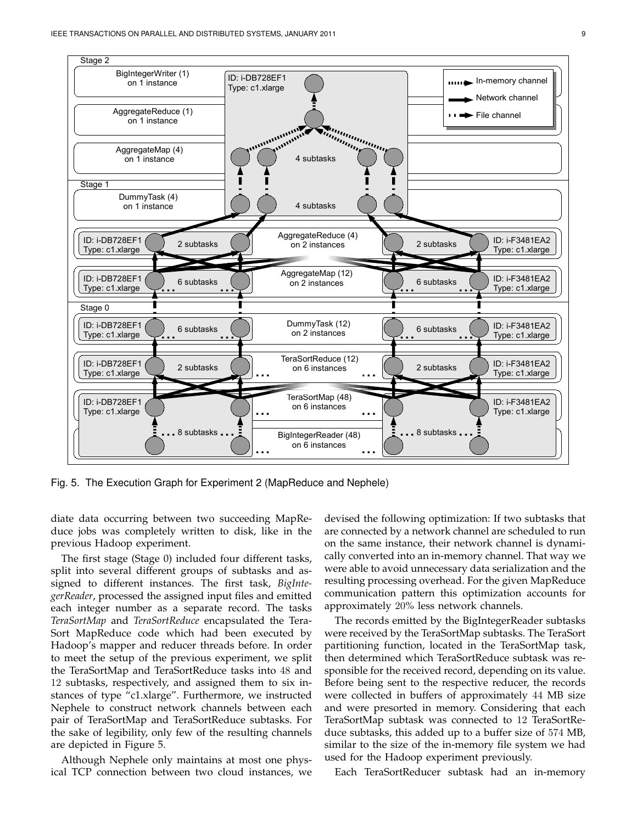

Fig. 5. The Execution Graph for Experiment 2 (MapReduce and Nephele)

diate data occurring between two succeeding MapReduce jobs was completely written to disk, like in the previous Hadoop experiment.

The first stage (Stage 0) included four different tasks, split into several different groups of subtasks and assigned to different instances. The first task, *BigIntegerReader*, processed the assigned input files and emitted each integer number as a separate record. The tasks *TeraSortMap* and *TeraSortReduce* encapsulated the Tera-Sort MapReduce code which had been executed by Hadoop's mapper and reducer threads before. In order to meet the setup of the previous experiment, we split the TeraSortMap and TeraSortReduce tasks into 48 and 12 subtasks, respectively, and assigned them to six instances of type "c1.xlarge". Furthermore, we instructed Nephele to construct network channels between each pair of TeraSortMap and TeraSortReduce subtasks. For the sake of legibility, only few of the resulting channels are depicted in Figure 5.

Although Nephele only maintains at most one physical TCP connection between two cloud instances, we

devised the following optimization: If two subtasks that are connected by a network channel are scheduled to run on the same instance, their network channel is dynamically converted into an in-memory channel. That way we were able to avoid unnecessary data serialization and the resulting processing overhead. For the given MapReduce communication pattern this optimization accounts for approximately 20% less network channels.

The records emitted by the BigIntegerReader subtasks were received by the TeraSortMap subtasks. The TeraSort partitioning function, located in the TeraSortMap task, then determined which TeraSortReduce subtask was responsible for the received record, depending on its value. Before being sent to the respective reducer, the records were collected in buffers of approximately 44 MB size and were presorted in memory. Considering that each TeraSortMap subtask was connected to 12 TeraSortReduce subtasks, this added up to a buffer size of 574 MB, similar to the size of the in-memory file system we had used for the Hadoop experiment previously.

Each TeraSortReducer subtask had an in-memory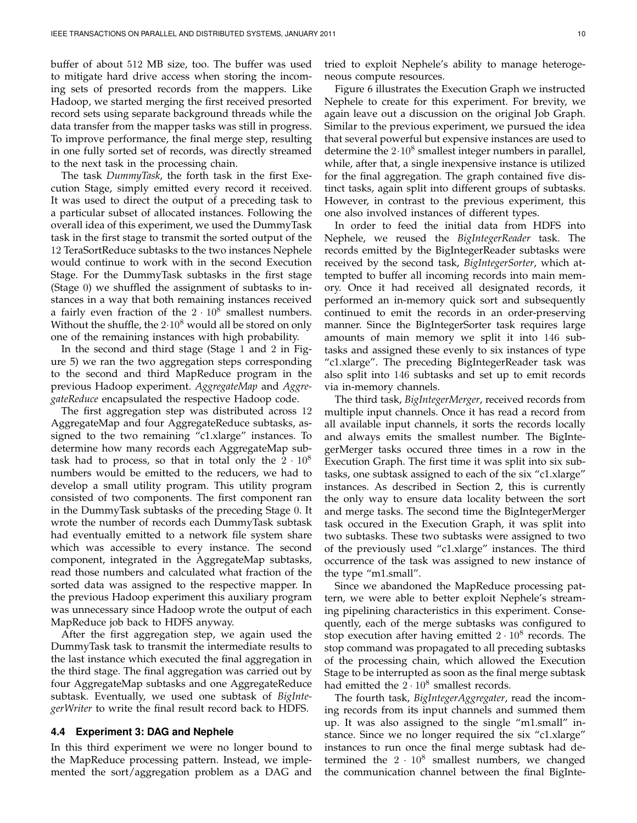buffer of about 512 MB size, too. The buffer was used to mitigate hard drive access when storing the incoming sets of presorted records from the mappers. Like Hadoop, we started merging the first received presorted record sets using separate background threads while the data transfer from the mapper tasks was still in progress. To improve performance, the final merge step, resulting in one fully sorted set of records, was directly streamed to the next task in the processing chain.

The task *DummyTask*, the forth task in the first Execution Stage, simply emitted every record it received. It was used to direct the output of a preceding task to a particular subset of allocated instances. Following the overall idea of this experiment, we used the DummyTask task in the first stage to transmit the sorted output of the 12 TeraSortReduce subtasks to the two instances Nephele would continue to work with in the second Execution Stage. For the DummyTask subtasks in the first stage (Stage 0) we shuffled the assignment of subtasks to instances in a way that both remaining instances received a fairly even fraction of the  $2 \cdot 10^8$  smallest numbers. Without the shuffle, the  $2·10<sup>8</sup>$  would all be stored on only one of the remaining instances with high probability.

In the second and third stage (Stage 1 and 2 in Figure 5) we ran the two aggregation steps corresponding to the second and third MapReduce program in the previous Hadoop experiment. *AggregateMap* and *AggregateReduce* encapsulated the respective Hadoop code.

The first aggregation step was distributed across 12 AggregateMap and four AggregateReduce subtasks, assigned to the two remaining "c1.xlarge" instances. To determine how many records each AggregateMap subtask had to process, so that in total only the  $2 \cdot 10^8$ numbers would be emitted to the reducers, we had to develop a small utility program. This utility program consisted of two components. The first component ran in the DummyTask subtasks of the preceding Stage 0. It wrote the number of records each DummyTask subtask had eventually emitted to a network file system share which was accessible to every instance. The second component, integrated in the AggregateMap subtasks, read those numbers and calculated what fraction of the sorted data was assigned to the respective mapper. In the previous Hadoop experiment this auxiliary program was unnecessary since Hadoop wrote the output of each MapReduce job back to HDFS anyway.

After the first aggregation step, we again used the DummyTask task to transmit the intermediate results to the last instance which executed the final aggregation in the third stage. The final aggregation was carried out by four AggregateMap subtasks and one AggregateReduce subtask. Eventually, we used one subtask of *BigIntegerWriter* to write the final result record back to HDFS.

### **4.4 Experiment 3: DAG and Nephele**

In this third experiment we were no longer bound to the MapReduce processing pattern. Instead, we implemented the sort/aggregation problem as a DAG and tried to exploit Nephele's ability to manage heterogeneous compute resources.

Figure 6 illustrates the Execution Graph we instructed Nephele to create for this experiment. For brevity, we again leave out a discussion on the original Job Graph. Similar to the previous experiment, we pursued the idea that several powerful but expensive instances are used to determine the  $2.10^8$  smallest integer numbers in parallel, while, after that, a single inexpensive instance is utilized for the final aggregation. The graph contained five distinct tasks, again split into different groups of subtasks. However, in contrast to the previous experiment, this one also involved instances of different types.

In order to feed the initial data from HDFS into Nephele, we reused the *BigIntegerReader* task. The records emitted by the BigIntegerReader subtasks were received by the second task, *BigIntegerSorter*, which attempted to buffer all incoming records into main memory. Once it had received all designated records, it performed an in-memory quick sort and subsequently continued to emit the records in an order-preserving manner. Since the BigIntegerSorter task requires large amounts of main memory we split it into 146 subtasks and assigned these evenly to six instances of type "c1.xlarge". The preceding BigIntegerReader task was also split into 146 subtasks and set up to emit records via in-memory channels.

The third task, *BigIntegerMerger*, received records from multiple input channels. Once it has read a record from all available input channels, it sorts the records locally and always emits the smallest number. The BigIntegerMerger tasks occured three times in a row in the Execution Graph. The first time it was split into six subtasks, one subtask assigned to each of the six "c1.xlarge" instances. As described in Section 2, this is currently the only way to ensure data locality between the sort and merge tasks. The second time the BigIntegerMerger task occured in the Execution Graph, it was split into two subtasks. These two subtasks were assigned to two of the previously used "c1.xlarge" instances. The third occurrence of the task was assigned to new instance of the type "m1.small".

Since we abandoned the MapReduce processing pattern, we were able to better exploit Nephele's streaming pipelining characteristics in this experiment. Consequently, each of the merge subtasks was configured to stop execution after having emitted  $2 \cdot 10^8$  records. The stop command was propagated to all preceding subtasks of the processing chain, which allowed the Execution Stage to be interrupted as soon as the final merge subtask had emitted the  $2 \cdot 10^8$  smallest records.

The fourth task, *BigIntegerAggregater*, read the incoming records from its input channels and summed them up. It was also assigned to the single "m1.small" instance. Since we no longer required the six "c1.xlarge" instances to run once the final merge subtask had determined the  $2 \cdot 10^8$  smallest numbers, we changed the communication channel between the final BigInte-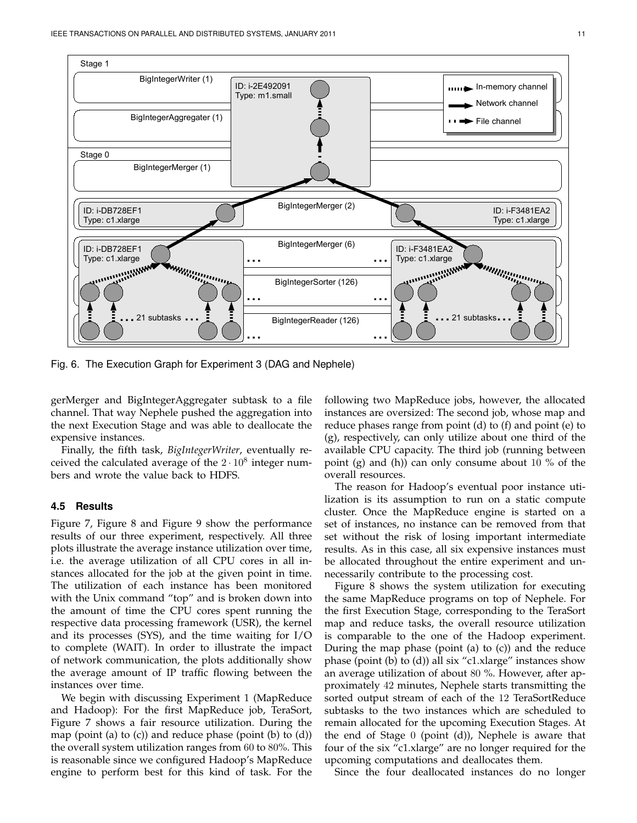

Fig. 6. The Execution Graph for Experiment 3 (DAG and Nephele)

gerMerger and BigIntegerAggregater subtask to a file channel. That way Nephele pushed the aggregation into the next Execution Stage and was able to deallocate the expensive instances.

Finally, the fifth task, *BigIntegerWriter*, eventually received the calculated average of the  $2 \cdot 10^8$  integer numbers and wrote the value back to HDFS.

## **4.5 Results**

Figure 7, Figure 8 and Figure 9 show the performance results of our three experiment, respectively. All three plots illustrate the average instance utilization over time, i.e. the average utilization of all CPU cores in all instances allocated for the job at the given point in time. The utilization of each instance has been monitored with the Unix command "top" and is broken down into the amount of time the CPU cores spent running the respective data processing framework (USR), the kernel and its processes (SYS), and the time waiting for I/O to complete (WAIT). In order to illustrate the impact of network communication, the plots additionally show the average amount of IP traffic flowing between the instances over time.

We begin with discussing Experiment 1 (MapReduce and Hadoop): For the first MapReduce job, TeraSort, Figure 7 shows a fair resource utilization. During the map (point (a) to (c)) and reduce phase (point (b) to (d)) the overall system utilization ranges from 60 to 80%. This is reasonable since we configured Hadoop's MapReduce engine to perform best for this kind of task. For the

following two MapReduce jobs, however, the allocated instances are oversized: The second job, whose map and reduce phases range from point (d) to (f) and point (e) to (g), respectively, can only utilize about one third of the available CPU capacity. The third job (running between point (g) and (h)) can only consume about 10 % of the overall resources.

The reason for Hadoop's eventual poor instance utilization is its assumption to run on a static compute cluster. Once the MapReduce engine is started on a set of instances, no instance can be removed from that set without the risk of losing important intermediate results. As in this case, all six expensive instances must be allocated throughout the entire experiment and unnecessarily contribute to the processing cost.

Figure 8 shows the system utilization for executing the same MapReduce programs on top of Nephele. For the first Execution Stage, corresponding to the TeraSort map and reduce tasks, the overall resource utilization is comparable to the one of the Hadoop experiment. During the map phase (point (a) to (c)) and the reduce phase (point (b) to (d)) all six "c1.xlarge" instances show an average utilization of about 80 %. However, after approximately 42 minutes, Nephele starts transmitting the sorted output stream of each of the 12 TeraSortReduce subtasks to the two instances which are scheduled to remain allocated for the upcoming Execution Stages. At the end of Stage 0 (point (d)), Nephele is aware that four of the six "c1.xlarge" are no longer required for the upcoming computations and deallocates them.

Since the four deallocated instances do no longer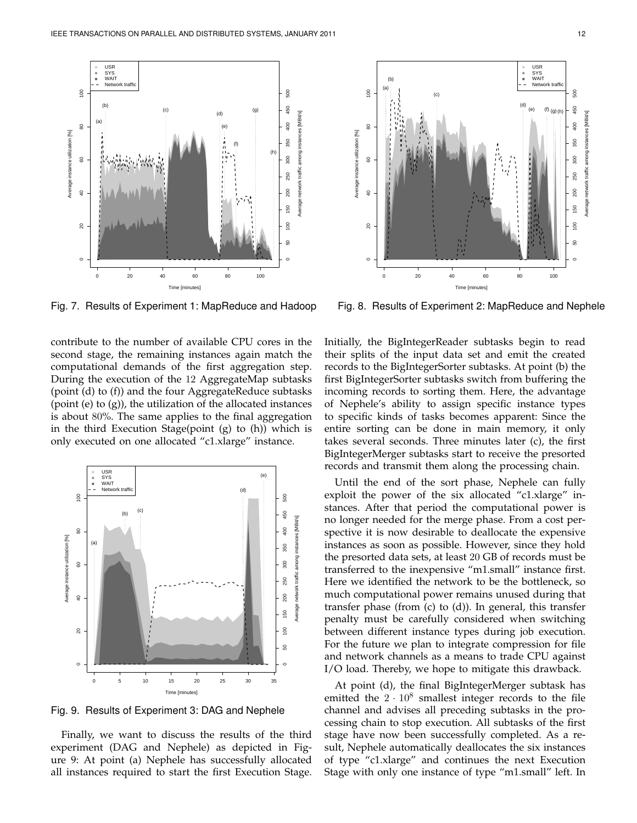

Fig. 7. Results of Experiment 1: MapReduce and Hadoop

contribute to the number of available CPU cores in the second stage, the remaining instances again match the computational demands of the first aggregation step. During the execution of the 12 AggregateMap subtasks (point (d) to (f)) and the four AggregateReduce subtasks (point (e) to (g)), the utilization of the allocated instances is about 80%. The same applies to the final aggregation in the third Execution Stage(point (g) to (h)) which is only executed on one allocated "c1.xlarge" instance.



Fig. 9. Results of Experiment 3: DAG and Nephele

Finally, we want to discuss the results of the third experiment (DAG and Nephele) as depicted in Figure 9: At point (a) Nephele has successfully allocated all instances required to start the first Execution Stage.

Fig. 8. Results of Experiment 2: MapReduce and Nephele

Initially, the BigIntegerReader subtasks begin to read their splits of the input data set and emit the created records to the BigIntegerSorter subtasks. At point (b) the first BigIntegerSorter subtasks switch from buffering the incoming records to sorting them. Here, the advantage of Nephele's ability to assign specific instance types to specific kinds of tasks becomes apparent: Since the entire sorting can be done in main memory, it only takes several seconds. Three minutes later (c), the first BigIntegerMerger subtasks start to receive the presorted records and transmit them along the processing chain.

Until the end of the sort phase, Nephele can fully exploit the power of the six allocated "c1.xlarge" instances. After that period the computational power is no longer needed for the merge phase. From a cost perspective it is now desirable to deallocate the expensive instances as soon as possible. However, since they hold the presorted data sets, at least 20 GB of records must be transferred to the inexpensive "m1.small" instance first. Here we identified the network to be the bottleneck, so much computational power remains unused during that transfer phase (from (c) to (d)). In general, this transfer penalty must be carefully considered when switching between different instance types during job execution. For the future we plan to integrate compression for file and network channels as a means to trade CPU against I/O load. Thereby, we hope to mitigate this drawback.

At point (d), the final BigIntegerMerger subtask has emitted the  $2 \cdot 10^8$  smallest integer records to the file channel and advises all preceding subtasks in the processing chain to stop execution. All subtasks of the first stage have now been successfully completed. As a result, Nephele automatically deallocates the six instances of type "c1.xlarge" and continues the next Execution Stage with only one instance of type "m1.small" left. In

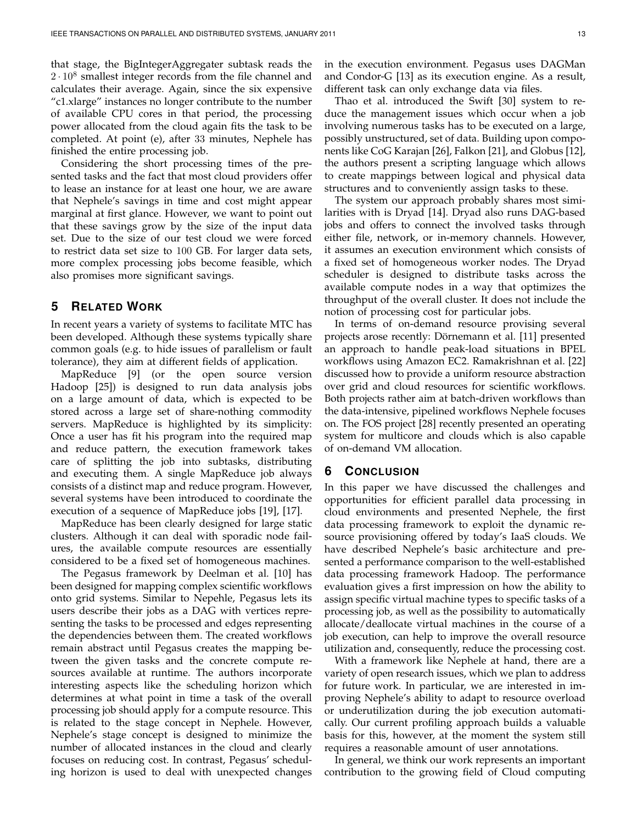that stage, the BigIntegerAggregater subtask reads the  $2 \cdot 10^8$  smallest integer records from the file channel and calculates their average. Again, since the six expensive "c1.xlarge" instances no longer contribute to the number of available CPU cores in that period, the processing power allocated from the cloud again fits the task to be completed. At point (e), after 33 minutes, Nephele has finished the entire processing job.

Considering the short processing times of the presented tasks and the fact that most cloud providers offer to lease an instance for at least one hour, we are aware that Nephele's savings in time and cost might appear marginal at first glance. However, we want to point out that these savings grow by the size of the input data set. Due to the size of our test cloud we were forced to restrict data set size to 100 GB. For larger data sets, more complex processing jobs become feasible, which also promises more significant savings.

## **5 RELATED WORK**

In recent years a variety of systems to facilitate MTC has been developed. Although these systems typically share common goals (e.g. to hide issues of parallelism or fault tolerance), they aim at different fields of application.

MapReduce [9] (or the open source version Hadoop [25]) is designed to run data analysis jobs on a large amount of data, which is expected to be stored across a large set of share-nothing commodity servers. MapReduce is highlighted by its simplicity: Once a user has fit his program into the required map and reduce pattern, the execution framework takes care of splitting the job into subtasks, distributing and executing them. A single MapReduce job always consists of a distinct map and reduce program. However, several systems have been introduced to coordinate the execution of a sequence of MapReduce jobs [19], [17].

MapReduce has been clearly designed for large static clusters. Although it can deal with sporadic node failures, the available compute resources are essentially considered to be a fixed set of homogeneous machines.

The Pegasus framework by Deelman et al. [10] has been designed for mapping complex scientific workflows onto grid systems. Similar to Nepehle, Pegasus lets its users describe their jobs as a DAG with vertices representing the tasks to be processed and edges representing the dependencies between them. The created workflows remain abstract until Pegasus creates the mapping between the given tasks and the concrete compute resources available at runtime. The authors incorporate interesting aspects like the scheduling horizon which determines at what point in time a task of the overall processing job should apply for a compute resource. This is related to the stage concept in Nephele. However, Nephele's stage concept is designed to minimize the number of allocated instances in the cloud and clearly focuses on reducing cost. In contrast, Pegasus' scheduling horizon is used to deal with unexpected changes in the execution environment. Pegasus uses DAGMan and Condor-G [13] as its execution engine. As a result, different task can only exchange data via files.

Thao et al. introduced the Swift [30] system to reduce the management issues which occur when a job involving numerous tasks has to be executed on a large, possibly unstructured, set of data. Building upon components like CoG Karajan [26], Falkon [21], and Globus [12], the authors present a scripting language which allows to create mappings between logical and physical data structures and to conveniently assign tasks to these.

The system our approach probably shares most similarities with is Dryad [14]. Dryad also runs DAG-based jobs and offers to connect the involved tasks through either file, network, or in-memory channels. However, it assumes an execution environment which consists of a fixed set of homogeneous worker nodes. The Dryad scheduler is designed to distribute tasks across the available compute nodes in a way that optimizes the throughput of the overall cluster. It does not include the notion of processing cost for particular jobs.

In terms of on-demand resource provising several projects arose recently: Dörnemann et al. [11] presented an approach to handle peak-load situations in BPEL workflows using Amazon EC2. Ramakrishnan et al. [22] discussed how to provide a uniform resource abstraction over grid and cloud resources for scientific workflows. Both projects rather aim at batch-driven workflows than the data-intensive, pipelined workflows Nephele focuses on. The FOS project [28] recently presented an operating system for multicore and clouds which is also capable of on-demand VM allocation.

## **6 CONCLUSION**

In this paper we have discussed the challenges and opportunities for efficient parallel data processing in cloud environments and presented Nephele, the first data processing framework to exploit the dynamic resource provisioning offered by today's IaaS clouds. We have described Nephele's basic architecture and presented a performance comparison to the well-established data processing framework Hadoop. The performance evaluation gives a first impression on how the ability to assign specific virtual machine types to specific tasks of a processing job, as well as the possibility to automatically allocate/deallocate virtual machines in the course of a job execution, can help to improve the overall resource utilization and, consequently, reduce the processing cost.

With a framework like Nephele at hand, there are a variety of open research issues, which we plan to address for future work. In particular, we are interested in improving Nephele's ability to adapt to resource overload or underutilization during the job execution automatically. Our current profiling approach builds a valuable basis for this, however, at the moment the system still requires a reasonable amount of user annotations.

In general, we think our work represents an important contribution to the growing field of Cloud computing